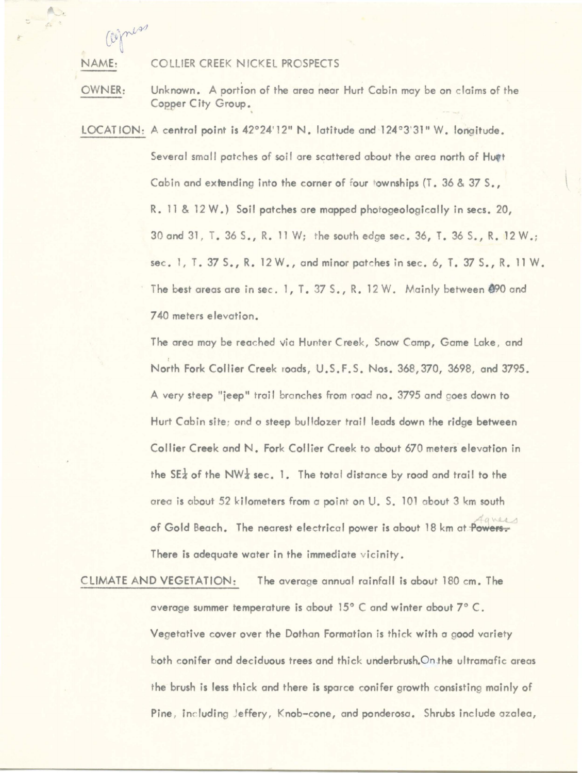NAME: COLLIER CREEK NICKEL PROSPECTS

 $e^{\frac{i}{2}\pi i}$ ~

A.  $\alpha$  =

> OWNER: Unknown. A portion of the area near Hurt Cabin may be on claims of the Copper City Group. .

LOCATION: A central point is 42°24' 12" N. latitude and 124°3'31" W. longitude. Several small patches of soil are scattered about the area north of Hugt Cabin and extending into the corner of four townships (T. 36 & 37 S., R. 11 & 12 W.) Soil patches are mapped photogeologically in secs. 20, 30 and 31, T. 36 S., R. 11 W; the south edge sec. 36, T. 36 S., R. 12 W .; sec. 1, T. 37 S., R.  $12 W$ ., and minor patches in sec. 6, T. 37 S., R. 11 W. The best areas are in sec. 1, T. 37 S., R. 12 W. Mainly between 490 and 740 meters elevation.

> The area may be reached via Hunter Creek, Snow Comp, Gome Lake , and t North Fork Collier Creek roads, U.S.F.S. **Nos.** 368,370, 3698, and 3795. A very steep "jeep" trail branches from road no. 3795 and goes down to Hurt Cabin site; and a steep bulldozer trail leads down the ridge between Collier Creek and N. Fork Collier Creek to about 670 meters elevation in the SE<sub> $\frac{1}{4}$ </sub> of the NW<sub>4</sub> sec. 1. The total distance by road and trail to the area is about 52 kilometers from a point on U. S. 101 about 3 km south Agnes of Gold Beach. The nearest electrical power is about 18 km at Powers. There is adequate water in the immediate vicinity.

CLIMATE AND VEGETATION: The average annual rainfall is about 180 cm. The overage summer temperature is about 15° C and winter about 7° C. Vegetative cover over the Dothan Formation is thick with a good variety both conifer and deciduous trees and thick underbrush. On the ultramafic areas the brush is less thick and there is sparce conifer growth consisting mainly of Pine, including Jeffery, Knob-cone, and ponderosa. Shrubs include azalea,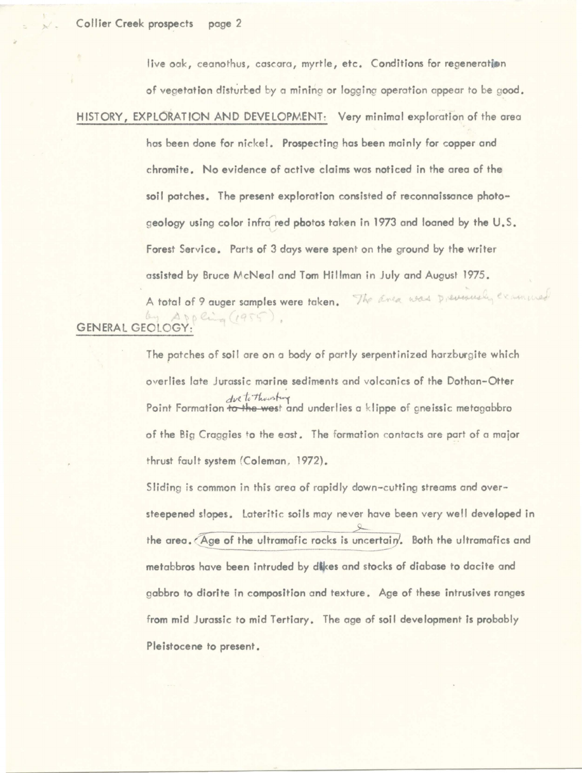live oak, ceanothus, cascara, myrtle, etc. Conditions for regeneration

of vegetation disturbed by a mining or logging operation appear to be good.

HISTORY, EXPLORATION AND DEVELOPMENT: Very minimal exploration of the area

hos been done for nickel. Prospecting hos been mainly for copper and chromite. No evidence of active claims was noticed in the area of the soil potches. The present exploration consisted of reconnoissonce photogeology using color infra red photos taken in 1973 and loaned by the U.S. Forest Service. Parts of 3 days **were** spent on the ground by the writer assisted by Bruce McNeal and Tom Hillman in July and August 1975.

A total of 9 auger samples were taken. The Enea was prevenced, examined PD Crime (1955 GENERAL GEOLOGY:

> The patches of soil ore on o body of partly serpentinlzed harzburgite which overlies late Jurassic marine sediments and volcanics of the Dothan-Otter *dvs to the ster and underlies a klippe of gneissic metagabbro* of the Big Craggies to the east. The formation contacts ore part of a major thrust fault **system** (Coleman, 1972).

Sliding is common in this area of rapidly down-cutting streams and oversteepened slopes. lateritic soils may never hove been very well developed in the area. Age of the ultramafic rocks is uncertain. Both the ultramafics and metabbros have been intruded by dikes and stocks of diabase to dacite and gabbro to diorlte in composition and texture. Age of these intrusives ranges from mid Jurassic to mid Tertiary. The age of soil development is probably Pleistocene to present.